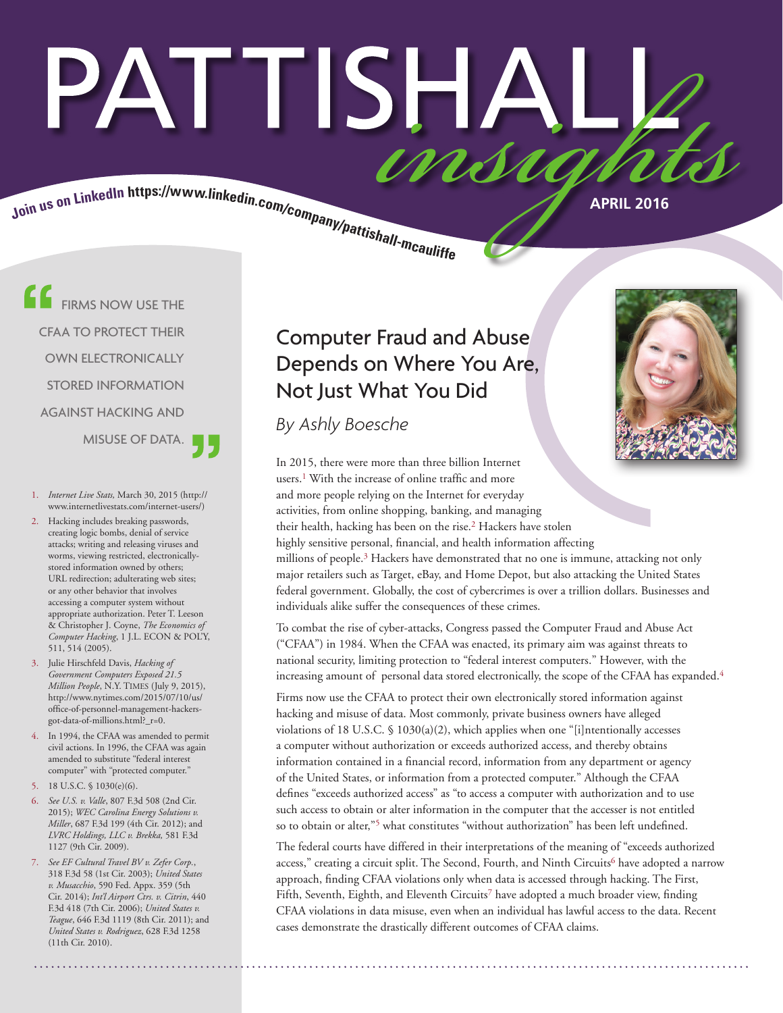# PATTISHAI Join us on LinkedIn https://www.linkedin.com/company/pattishall-mcaulity

FIRMS NOW USE THE CFAA TO PROTECT THEIR OWN ELECTRONICALLY STORED INFORMATION AGAINST HACKING AND MISUSE OF DATA.

- 1. *Internet Live Stats,* March 30, 2015 (http:// www.internetlivestats.com/internet-users/)
- 2. Hacking includes breaking passwords, creating logic bombs, denial of service attacks; writing and releasing viruses and worms, viewing restricted, electronicallystored information owned by others; URL redirection; adulterating web sites; or any other behavior that involves accessing a computer system without appropriate authorization. Peter T. Leeson & Christopher J. Coyne, *The Economics of Computer Hacking*, 1 J.L. ECON & POL'Y, 511, 514 (2005).
- 3. Julie Hirschfeld Davis, *Hacking of Government Computers Exposed 21.5 Million People*, N.Y. Times (July 9, 2015), http://www.nytimes.com/2015/07/10/us/ office-of-personnel-management-hackersgot-data-of-millions.html?\_r=0.
- 4. In 1994, the CFAA was amended to permit civil actions. In 1996, the CFAA was again amended to substitute "federal interest computer" with "protected computer."
- 5. 18 U.S.C. § 1030(e)(6).
- 6. *See U.S. v. Valle*, 807 F.3d 508 (2nd Cir. 2015); *WEC Carolina Energy Solutions v. Miller*, 687 F.3d 199 (4th Cir. 2012); and *LVRC Holdings, LLC v. Brekka,* 581 F.3d 1127 (9th Cir. 2009).
- 7. *See EF Cultural Travel BV v. Zefer Corp.*, 318 F.3d 58 (1st Cir. 2003); *United States v. Musacchio*, 590 Fed. Appx. 359 (5th Cir. 2014); *Int'l Airport Ctrs. v. Citrin*, 440 F.3d 418 (7th Cir. 2006); *United States v. Teague*, 646 F.3d 1119 (8th Cir. 2011); and *United States v. Rodriguez*, 628 F.3d 1258 (11th Cir. 2010).

# Computer Fraud and Abuse Depends on Where You Are, Not Just What You Did

*By Ashly Boesche*



In 2015, there were more than three billion Internet users.<sup>1</sup> With the increase of online traffic and more and more people relying on the Internet for everyday activities, from online shopping, banking, and managing their health, hacking has been on the rise.<sup>2</sup> Hackers have stolen highly sensitive personal, financial, and health information affecting millions of people.<sup>3</sup> Hackers have demonstrated that no one is immune, attacking not only major retailers such as Target, eBay, and Home Depot, but also attacking the United States federal government. Globally, the cost of cybercrimes is over a trillion dollars. Businesses and individuals alike suffer the consequences of these crimes.

To combat the rise of cyber-attacks, Congress passed the Computer Fraud and Abuse Act ("CFAA") in 1984. When the CFAA was enacted, its primary aim was against threats to national security, limiting protection to "federal interest computers." However, with the increasing amount of personal data stored electronically, the scope of the CFAA has expanded.<sup>4</sup>

Firms now use the CFAA to protect their own electronically stored information against hacking and misuse of data. Most commonly, private business owners have alleged violations of 18 U.S.C. § 1030(a)(2), which applies when one "[i]ntentionally accesses a computer without authorization or exceeds authorized access, and thereby obtains information contained in a financial record, information from any department or agency of the United States, or information from a protected computer." Although the CFAA defines "exceeds authorized access" as "to access a computer with authorization and to use such access to obtain or alter information in the computer that the accesser is not entitled so to obtain or alter,"<sup>5</sup> what constitutes "without authorization" has been left undefined.

The federal courts have differed in their interpretations of the meaning of "exceeds authorized access," creating a circuit split. The Second, Fourth, and Ninth Circuits<sup>6</sup> have adopted a narrow approach, finding CFAA violations only when data is accessed through hacking. The First, Fifth, Seventh, Eighth, and Eleventh Circuits<sup>7</sup> have adopted a much broader view, finding CFAA violations in data misuse, even when an individual has lawful access to the data. Recent cases demonstrate the drastically different outcomes of CFAA claims.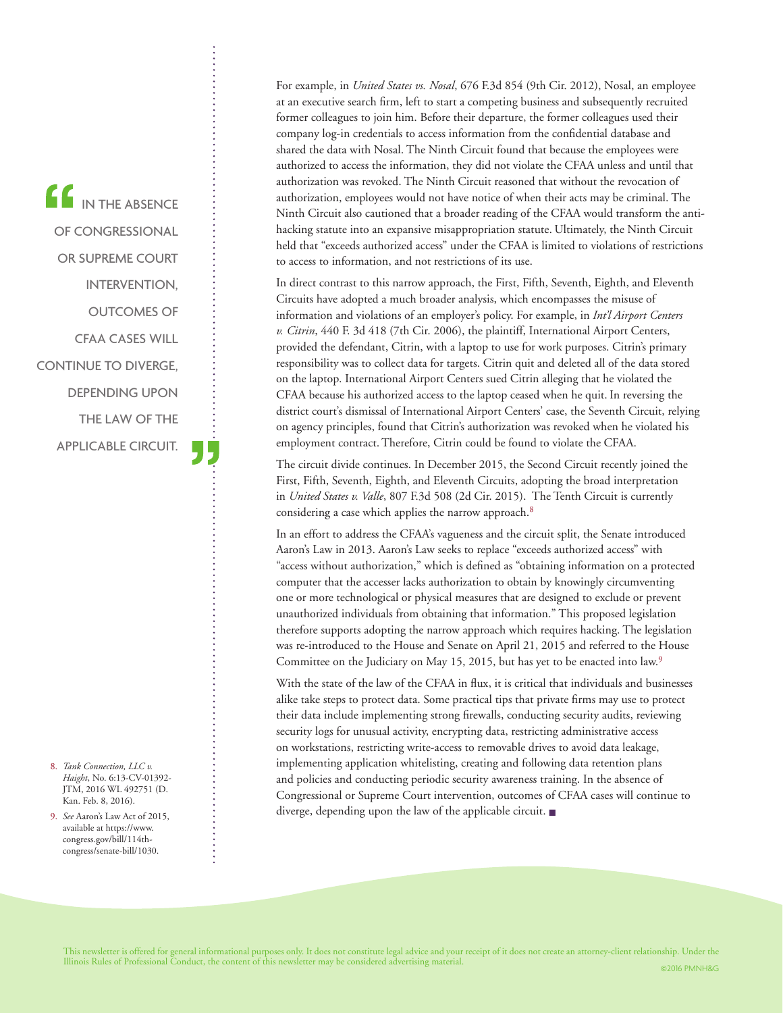IN THE ABSENCE OF CONGRESSIONAL OR SUPREME COURT INTERVENTION, OUTCOMES OF CFAA CASES WILL CONTINUE TO DIVERGE, DEPENDING UPON THE LAW OF THE APPLICABLE CIRCUIT.

- 8. *Tank Connection, LLC v. Haight*, No. 6:13-CV-01392- JTM, 2016 WL 492751 (D. Kan. Feb. 8, 2016).
- 9. *See* Aaron's Law Act of 2015, available at https://www. congress.gov/bill/114thcongress/senate-bill/1030.

For example, in *United States vs. Nosal*, 676 F.3d 854 (9th Cir. 2012), Nosal, an employee at an executive search firm, left to start a competing business and subsequently recruited former colleagues to join him. Before their departure, the former colleagues used their company log-in credentials to access information from the confidential database and shared the data with Nosal. The Ninth Circuit found that because the employees were authorized to access the information, they did not violate the CFAA unless and until that authorization was revoked. The Ninth Circuit reasoned that without the revocation of authorization, employees would not have notice of when their acts may be criminal. The Ninth Circuit also cautioned that a broader reading of the CFAA would transform the antihacking statute into an expansive misappropriation statute. Ultimately, the Ninth Circuit held that "exceeds authorized access" under the CFAA is limited to violations of restrictions to access to information, and not restrictions of its use.

In direct contrast to this narrow approach, the First, Fifth, Seventh, Eighth, and Eleventh Circuits have adopted a much broader analysis, which encompasses the misuse of information and violations of an employer's policy. For example, in *Int'l Airport Centers v. Citrin*, 440 F. 3d 418 (7th Cir. 2006), the plaintiff, International Airport Centers, provided the defendant, Citrin, with a laptop to use for work purposes. Citrin's primary responsibility was to collect data for targets. Citrin quit and deleted all of the data stored on the laptop. International Airport Centers sued Citrin alleging that he violated the CFAA because his authorized access to the laptop ceased when he quit. In reversing the district court's dismissal of International Airport Centers' case, the Seventh Circuit, relying on agency principles, found that Citrin's authorization was revoked when he violated his employment contract.Therefore, Citrin could be found to violate the CFAA.

The circuit divide continues. In December 2015, the Second Circuit recently joined the First, Fifth, Seventh, Eighth, and Eleventh Circuits, adopting the broad interpretation in *United States v. Valle*, 807 F.3d 508 (2d Cir. 2015). The Tenth Circuit is currently considering a case which applies the narrow approach.8

In an effort to address the CFAA's vagueness and the circuit split, the Senate introduced Aaron's Law in 2013. Aaron's Law seeks to replace "exceeds authorized access" with "access without authorization," which is defined as "obtaining information on a protected computer that the accesser lacks authorization to obtain by knowingly circumventing one or more technological or physical measures that are designed to exclude or prevent unauthorized individuals from obtaining that information." This proposed legislation therefore supports adopting the narrow approach which requires hacking. The legislation was re-introduced to the House and Senate on April 21, 2015 and referred to the House Committee on the Judiciary on May 15, 2015, but has yet to be enacted into law.<sup>9</sup>

With the state of the law of the CFAA in flux, it is critical that individuals and businesses alike take steps to protect data. Some practical tips that private firms may use to protect their data include implementing strong firewalls, conducting security audits, reviewing security logs for unusual activity, encrypting data, restricting administrative access on workstations, restricting write-access to removable drives to avoid data leakage, implementing application whitelisting, creating and following data retention plans and policies and conducting periodic security awareness training. In the absence of Congressional or Supreme Court intervention, outcomes of CFAA cases will continue to diverge, depending upon the law of the applicable circuit. ■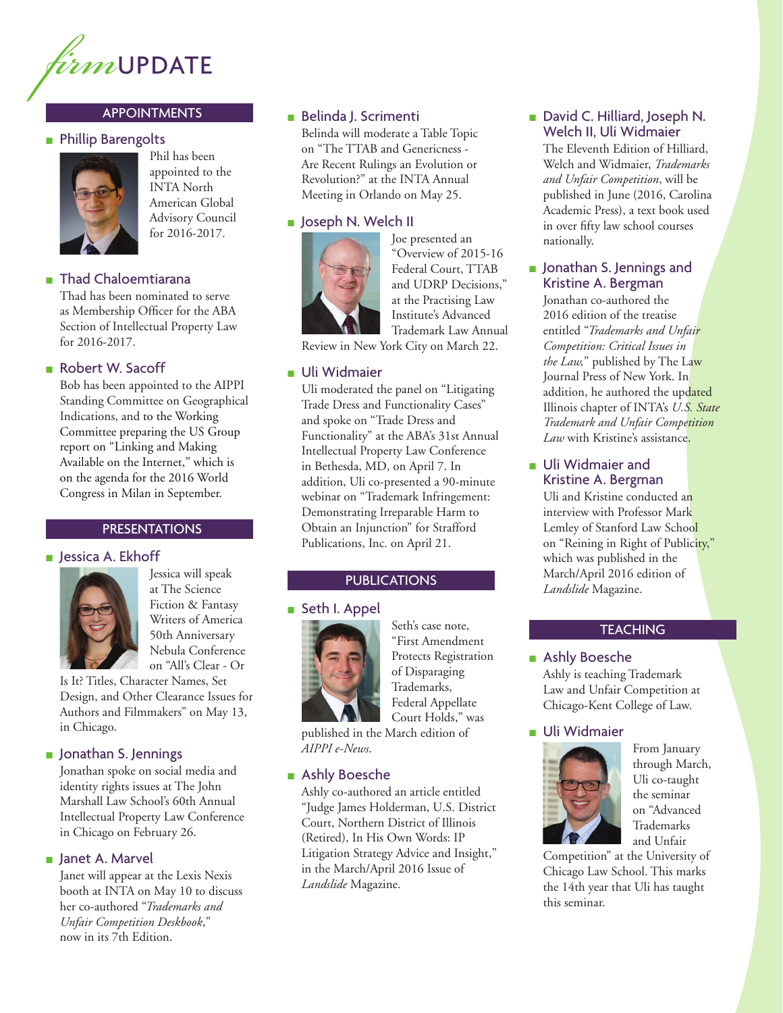

## APPOINTMENTS

#### ■ Phillip Barengolts



Phil has been appointed to the INTA North American Global Advisory Council for 2016-2017.

#### ■ Thad Chaloemtiarana

Thad has been nominated to serve as Membership Officer for the ABA Section of Intellectual Property Law for 2016-2017.

#### ■ Robert W. Sacoff

Bob has been appointed to the AIPPI Standing Committee on Geographical Indications, and to the Working Committee preparing the US Group report on "Linking and Making Available on the Internet," which is on the agenda for the 2016 World Congress in Milan in September.

#### **PRESENTATIONS**

#### ■ Jessica A. Ekhoff



Jessica will speak at The Science Fiction & Fantasy Writers of America 50th Anniversary Nebula Conference on "All's Clear - Or

Is It? Titles, Character Names, Set Design, and Other Clearance Issues for Authors and Filmmakers" on May 13, in Chicago.

#### ■ Jonathan S. Jennings

Jonathan spoke on social media and identity rights issues at The John Marshall Law School's 60th Annual Intellectual Property Law Conference in Chicago on February 26.

#### ■ Janet A. Marvel

Janet will appear at the Lexis Nexis booth at INTA on May 10 to discuss her co-authored "*Trademarks and Unfair Competition Deskbook*," now in its 7th Edition.

# ■ Belinda J. Scrimenti

Belinda will moderate a Table Topic on "The TTAB and Genericness - Are Recent Rulings an Evolution or Revolution?" at the INTA Annual Meeting in Orlando on May 25.

# ■ Joseph N. Welch II



Joe presented an "Overview of 2015-16 Federal Court, TTAB and UDRP Decisions," at the Practising Law Institute's Advanced Trademark Law Annual

Review in New York City on March 22.

## ■ Uli Widmaier

Uli moderated the panel on "Litigating Trade Dress and Functionality Cases" and spoke on "Trade Dress and Functionality" at the ABA's 31st Annual Intellectual Property Law Conference in Bethesda, MD, on April 7. In addition, Uli co-presented a 90-minute webinar on "Trademark Infringement: Demonstrating Irreparable Harm to Obtain an Injunction" for Strafford Publications, Inc. on April 21.

#### PUBLICATIONS

#### ■ Seth I. Appel



Seth's case note, "First Amendment Protects Registration of Disparaging Trademarks, Federal Appellate Court Holds," was

published in the March edition of *AIPPI e-News*.

## ■ Ashly Boesche

Ashly co-authored an article entitled "Judge James Holderman, U.S. District Court, Northern District of Illinois (Retired), In His Own Words: IP Litigation Strategy Advice and Insight," in the March/April 2016 Issue of *Landslide* Magazine.

#### ■ David C. Hilliard, Joseph N. Welch II, Uli Widmaier

The Eleventh Edition of Hilliard, Welch and Widmaier, *Trademarks and Unfair Competition*, will be published in June (2016, Carolina Academic Press), a text book used in over fifty law school courses nationally.

## ■ Jonathan S. Jennings and Kristine A. Bergman

Jonathan co-authored the 2016 edition of the treatise entitled "*Trademarks and Unfair Competition: Critical Issues in the Law,*" published by The Law Journal Press of New York. In addition, he authored the updated Illinois chapter of INTA's *U.S. State Trademark and Unfair Competition Law* with Kristine's assistance.

#### ■ Uli Widmaier and Kristine A. Bergman

Uli and Kristine conducted an interview with Professor Mark Lemley of Stanford Law School on "Reining in Right of Publicity," which was published in the March/April 2016 edition of *Landslide* Magazine.

# **TEACHING**

■ Ashly Boesche Ashly is teaching Trademark Law and Unfair Competition at Chicago-Kent College of Law.

#### ■ Uli Widmaier



From January through March, Uli co-taught the seminar on "Advanced Trademarks and Unfair

Competition" at the University of Chicago Law School. This marks the 14th year that Uli has taught this seminar.